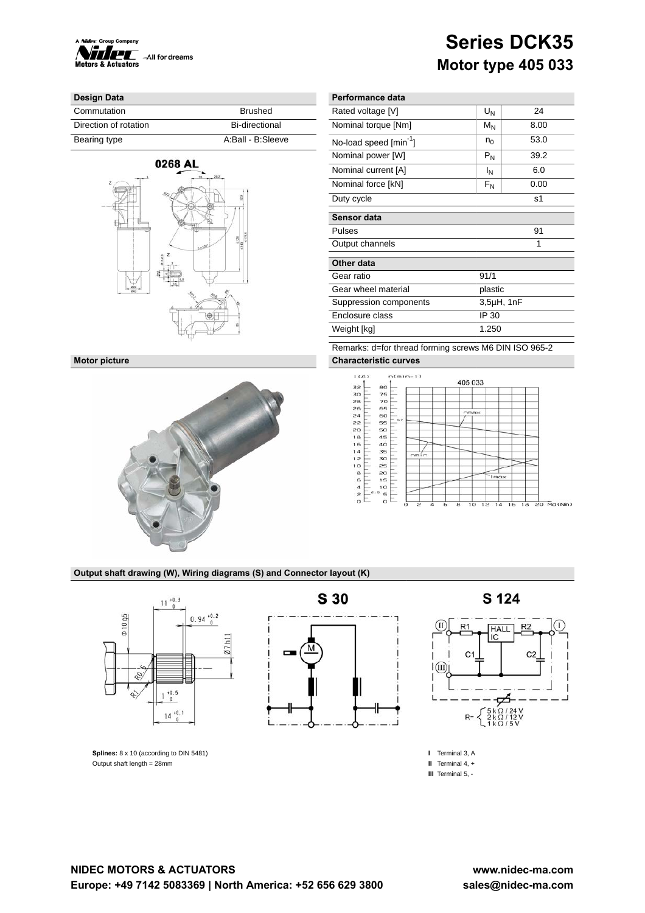

## **Series DCK35 Motor type 405 033**

## **Design Data Performance data Performance data**

| Commutation           | Brushed           | Rated voltage [V]                  | UΝ    |      |
|-----------------------|-------------------|------------------------------------|-------|------|
| Direction of rotation | Bi-directional    | Nominal torque [Nm]                | $M_N$ | 8.00 |
| Bearing type          | A:Ball - B:Sleeve | No-load speed [min <sup>-1</sup> ] | $n_0$ | 53.0 |





| Rated voltage [V]                  | $U_N$   | 24              |
|------------------------------------|---------|-----------------|
| Nominal torque [Nm]                | $M_N$   | 8.00            |
| No-load speed [min <sup>-1</sup> ] |         | 53.0            |
| Nominal power [W]                  | $P_N$   | 39.2            |
| Nominal current [A]                | ΙN      | 6.0             |
| Nominal force [kN]                 | $F_N$   | 0.00            |
| Duty cycle                         |         | s1              |
| Sensor data                        |         |                 |
| Pulses                             |         | 91              |
| Output channels                    |         | 1               |
| Other data                         |         |                 |
| Gear ratio                         | 91/1    |                 |
| Gear wheel material                | plastic |                 |
| Suppression components             |         | $3,5\mu$ H, 1nF |
| Enclosure class                    | IP 30   |                 |
| Weight [kg]                        | 1.250   |                 |
|                                    |         |                 |

Remarks: d=for thread forming screws M6 DIN ISO 965-2 **Motor picture Characteristic curves**



## **Output shaft drawing (W), Wiring diagrams (S) and Connector layout (K)**



**Splines:** 8 x 10 (according to DIN 5481) Output shaft length = 28mm

# -

S 124



**I** Terminal 3, A **II** Terminal 4, + **III** Terminal 5, -

# **S 30**